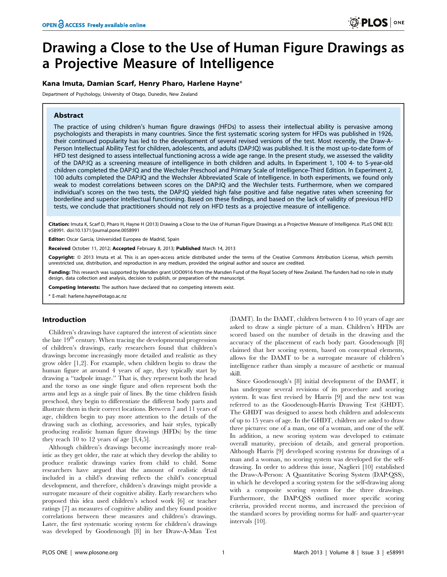# Drawing a Close to the Use of Human Figure Drawings as a Projective Measure of Intelligence

# Kana Imuta, Damian Scarf, Henry Pharo, Harlene Hayne\*

Department of Psychology, University of Otago, Dunedin, New Zealand

# Abstract

The practice of using children's human figure drawings (HFDs) to assess their intellectual ability is pervasive among psychologists and therapists in many countries. Since the first systematic scoring system for HFDs was published in 1926, their continued popularity has led to the development of several revised versions of the test. Most recently, the Draw-A-Person Intellectual Ability Test for children, adolescents, and adults (DAP:IQ) was published. It is the most up-to-date form of HFD test designed to assess intellectual functioning across a wide age range. In the present study, we assessed the validity of the DAP:IQ as a screening measure of intelligence in both children and adults. In Experiment 1, 100 4- to 5-year-old children completed the DAP:IQ and the Wechsler Preschool and Primary Scale of Intelligence-Third Edition. In Experiment 2, 100 adults completed the DAP:IQ and the Wechsler Abbreviated Scale of Intelligence. In both experiments, we found only weak to modest correlations between scores on the DAP:IQ and the Wechsler tests. Furthermore, when we compared individual's scores on the two tests, the DAP:IQ yielded high false positive and false negative rates when screening for borderline and superior intellectual functioning. Based on these findings, and based on the lack of validity of previous HFD tests, we conclude that practitioners should not rely on HFD tests as a projective measure of intelligence.

Citation: Imuta K, Scarf D, Pharo H, Hayne H (2013) Drawing a Close to the Use of Human Figure Drawings as a Projective Measure of Intelligence. PLoS ONE 8(3): e58991. doi:10.1371/journal.pone.0058991

Editor: Oscar García, Universidad Europea de Madrid, Spain

Received October 11, 2012; Accepted February 8, 2013; Published March 14, 2013

Copyright: © 2013 Imuta et al. This is an open-access article distributed under the terms of the Creative Commons Attribution License, which permits unrestricted use, distribution, and reproduction in any medium, provided the original author and source are credited.

Funding: This research was supported by Marsden grant UOO0916 from the Marsden Fund of the Royal Society of New Zealand. The funders had no role in study design, data collection and analysis, decision to publish, or preparation of the manuscript.

Competing Interests: The authors have declared that no competing interests exist.

\* E-mail: harlene.hayne@otago.ac.nz

# Introduction

Children's drawings have captured the interest of scientists since the late  $19<sup>th</sup>$  century. When tracing the developmental progression of children's drawings, early researchers found that children's drawings become increasingly more detailed and realistic as they grow older [1,2]. For example, when children begin to draw the human figure at around 4 years of age, they typically start by drawing a ''tadpole image.'' That is, they represent both the head and the torso as one single figure and often represent both the arms and legs as a single pair of lines. By the time children finish preschool, they begin to differentiate the different body parts and illustrate them in their correct locations. Between 7 and 11 years of age, children begin to pay more attention to the details of the drawing such as clothing, accessories, and hair styles, typically producing realistic human figure drawings (HFDs) by the time they reach 10 to 12 years of age  $[3,4,5]$ .

Although children's drawings become increasingly more realistic as they get older, the rate at which they develop the ability to produce realistic drawings varies from child to child. Some researchers have argued that the amount of realistic detail included in a child's drawing reflects the child's conceptual development, and therefore, children's drawings might provide a surrogate measure of their cognitive ability. Early researchers who proposed this idea used children's school work [6] or teacher ratings [7] as measures of cognitive ability and they found positive correlations between these measures and children's drawings. Later, the first systematic scoring system for children's drawings was developed by Goodenough [8] in her Draw-A-Man Test

(DAMT). In the DAMT, children between 4 to 10 years of age are asked to draw a single picture of a man. Children's HFDs are scored based on the number of details in the drawing and the accuracy of the placement of each body part. Goodenough [8] claimed that her scoring system, based on conceptual elements, allows for the DAMT to be a surrogate measure of children's intelligence rather than simply a measure of aesthetic or manual skill.

Since Goodenough's [8] initial development of the DAMT, it has undergone several revisions of its procedure and scoring system. It was first revised by Harris [9] and the new test was referred to as the Goodenough-Harris Drawing Test (GHDT). The GHDT was designed to assess both children and adolescents of up to 15 years of age. In the GHDT, children are asked to draw three pictures: one of a man, one of a woman, and one of the self. In addition, a new scoring system was developed to estimate overall maturity, precision of details, and general proportion. Although Harris [9] developed scoring systems for drawings of a man and a woman, no scoring system was developed for the selfdrawing. In order to address this issue, Naglieri [10] established the Draw-A-Person: A Quantitative Scoring System (DAP:QSS), in which he developed a scoring system for the self-drawing along with a composite scoring system for the three drawings. Furthermore, the DAP:QSS outlined more specific scoring criteria, provided recent norms, and increased the precision of the standard scores by providing norms for half- and quarter-year intervals [10].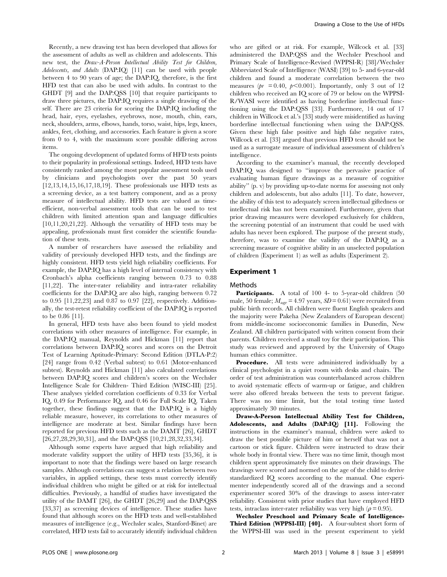Recently, a new drawing test has been developed that allows for the assessment of adults as well as children and adolescents. This new test, the Draw-A-Person Intellectual Ability Test for Children, Adolescents, and Adults (DAP:IQ) [11] can be used with people between 4 to 90 years of age; the DAP:IQ, therefore, is the first HFD test that can also be used with adults. In contrast to the GHDT [9] and the DAP:QSS [10] that require participants to draw three pictures, the DAP:IQ requires a single drawing of the self. There are 23 criteria for scoring the DAP:IQ including the head, hair, eyes, eyelashes, eyebrows, nose, mouth, chin, ears, neck, shoulders, arms, elbows, hands, torso, waist, hips, legs, knees, ankles, feet, clothing, and accessories. Each feature is given a score from 0 to 4, with the maximum score possible differing across items.

The ongoing development of updated forms of HFD tests points to their popularity in professional settings. Indeed, HFD tests have consistently ranked among the most popular assessment tools used by clinicians and psychologists over the past 50 years [12,13,14,15,16,17,18,19]. These professionals use HFD tests as a screening device, as a test battery component, and as a proxy measure of intellectual ability. HFD tests are valued as timeefficient, non-verbal assessment tools that can be used to test children with limited attention span and language difficulties [10,11,20,21,22]. Although the versatility of HFD tests may be appealing, professionals must first consider the scientific foundation of these tests.

A number of researchers have assessed the reliability and validity of previously developed HFD tests, and the findings are highly consistent. HFD tests yield high reliability coefficients. For example, the DAP:IQ has a high level of internal consistency with Cronbach's alpha coefficients ranging between 0.73 to 0.88 [11,22]. The inter-rater reliability and intra-rater reliability coefficients for the DAP:IQ are also high, ranging between 0.72 to 0.95 [11,22,23] and 0.87 to 0.97 [22], respectively. Additionally, the test-retest reliability coefficient of the DAP:IQ is reported to be 0.86 [11].

In general, HFD tests have also been found to yield modest correlations with other measures of intelligence. For example, in the DAP:IQ manual, Reynolds and Hickman [11] report that correlations between DAP:IQ scores and scores on the Detroit Test of Learning Aptitude-Primary: Second Edition (DTLA-P:2) [24] range from 0.42 (Verbal subtest) to 0.61 (Motor-enhanced subtest). Reynolds and Hickman [11] also calculated correlations between DAP:IQ scores and children's scores on the Wechsler Intelligence Scale for Children- Third Edition (WISC-III) [25]. These analyses yielded correlation coefficients of 0.33 for Verbal IQ, 0.49 for Performance IQ, and 0.46 for Full Scale IQ. Taken together, these findings suggest that the DAP:IQ is a highly reliable measure, however, its correlations to other measures of intelligence are moderate at best. Similar findings have been reported for previous HFD tests such as the DAMT [26], GHDT [26,27,28,29,30,31], and the DAP:QSS [10,21,28,32,33,34].

Although some experts have argued that high reliability and moderate validity support the utility of HFD tests [35,36], it is important to note that the findings were based on large research samples. Although correlations can suggest a relation between two variables, in applied settings, these tests must correctly identify individual children who might be gifted or at risk for intellectual difficulties. Previously, a handful of studies have investigated the utility of the DAMT [26], the GHDT [26,29] and the DAP:QSS [33,37] as screening devices of intelligence. These studies have found that although scores on the HFD tests and well-established measures of intelligence (e.g., Wechsler scales, Stanford-Binet) are correlated, HFD tests fail to accurately identify individual children who are gifted or at risk. For example, Willcock et al. [33] administered the DAP:QSS and the Wechsler Preschool and Primary Scale of Intelligence-Revised (WPPSI-R) [38]/Wechsler Abbreviated Scale of Intelligence (WASI) [39] to 5- and 6-year-old children and found a moderate correlation between the two measures ( $pr = 0.40$ ,  $p < 0.001$ ). Importantly, only 3 out of 12 children who received an IQ score of 79 or below on the WPPSI-R/WASI were identified as having borderline intellectual functioning using the DAP:QSS [33]. Furthermore, 14 out of 17 children in Willcock et al.'s [33] study were misidentified as having borderline intellectual functioning when using the DAP:QSS. Given these high false positive and high false negative rates, Willcock et al. [33] argued that previous HFD tests should not be used as a surrogate measure of individual assessment of children's intelligence.

According to the examiner's manual, the recently developed DAP:IQ was designed to "improve the pervasive practice of evaluating human figure drawings as a measure of cognitive ability'' (p. v) by providing up-to-date norms for assessing not only children and adolescents, but also adults [11]. To date, however, the ability of this test to adequately screen intellectual giftedness or intellectual risk has not been examined. Furthermore, given that prior drawing measures were developed exclusively for children, the screening potential of an instrument that could be used with adults has never been explored. The purpose of the present study, therefore, was to examine the validity of the DAP:IQ as a screening measure of cognitive ability in an unselected population of children (Experiment 1) as well as adults (Experiment 2).

## Experiment 1

## Methods

Participants. A total of 100 4- to 5-year-old children (50 male, 50 female;  $M_{\text{age}} = 4.97$  years,  $SD = 0.61$ ) were recruited from public birth records. All children were fluent English speakers and the majority were Pakeha (New Zealanders of European descent) from middle-income socioeconomic families in Dunedin, New Zealand. All children participated with written consent from their parents. Children received a small toy for their participation. This study was reviewed and approved by the University of Otago human ethics committee.

Procedure. All tests were administered individually by a clinical psychologist in a quiet room with desks and chairs. The order of test administration was counterbalanced across children to avoid systematic effects of warm-up or fatigue, and children were also offered breaks between the tests to prevent fatigue. There was no time limit, but the total testing time lasted approximately 30 minutes.

Draw-A-Person Intellectual Ability Test for Children, Adolescents, and Adults (DAP:IQ) [11]. Following the instructions in the examiner's manual, children were asked to draw the best possible picture of him or herself that was not a cartoon or stick figure. Children were instructed to draw their whole body in frontal view. There was no time limit, though most children spent approximately five minutes on their drawings. The drawings were scored and normed on the age of the child to derive standardized IQ scores according to the manual. One experimenter independently scored all of the drawings and a second experimenter scored 30% of the drawings to assess inter-rater reliability. Consistent with prior studies that have employed HFD tests, intraclass inter-rater reliability was very high ( $\rho = 0.95$ ).

Wechsler Preschool and Primary Scale of Intelligence-Third Edition (WPPSI-III) [40]. A four-subtest short form of the WPPSI-III was used in the present experiment to yield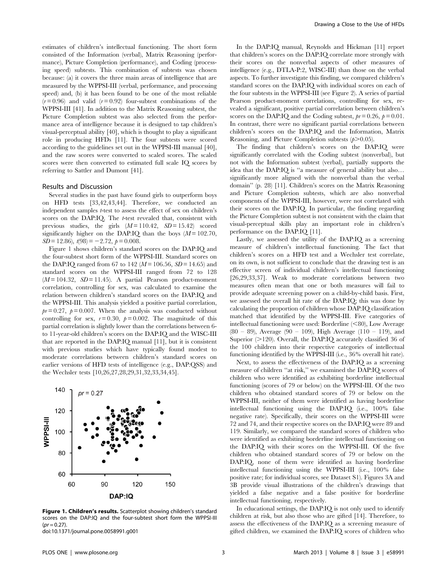estimates of children's intellectual functioning. The short form consisted of the Information (verbal), Matrix Reasoning (performance), Picture Completion (performance), and Coding (processing speed) subtests. This combination of subtests was chosen because: (a) it covers the three main areas of intelligence that are measured by the WPPSI-III (verbal, performance, and processing speed) and, (b) it has been found to be one of the most reliable  $(r=0.96)$  and valid  $(r=0.92)$  four-subtest combinations of the WPPSI-III [41]. In addition to the Matrix Reasoning subtest, the Picture Completion subtest was also selected from the performance area of intelligence because it is designed to tap children's visual-perceptual ability [40], which is thought to play a significant role in producing HFDs [11]. The four subtests were scored according to the guidelines set out in the WPPSI-III manual [40], and the raw scores were converted to scaled scores. The scaled scores were then converted to estimated full scale IQ scores by referring to Sattler and Dumont [41].

### Results and Discussion

Several studies in the past have found girls to outperform boys on HFD tests [33,42,43,44]. Therefore, we conducted an independent samples t-test to assess the effect of sex on children's scores on the DAP:IQ. The t-test revealed that, consistent with previous studies, the girls  $(M = 110.42, SD = 15.42)$  scored significantly higher on the DAP:IQ than the boys  $(M = 102.70,$  $SD = 12.86$ ,  $t(98) = -2.72$ ,  $p = 0.008$ .

Figure 1 shows children's standard scores on the DAP:IQ and the four-subtest short form of the WPPSI-III. Standard scores on the DAP:IQ ranged from 67 to 142 ( $M = 106.56$ ,  $SD = 14.65$ ) and standard scores on the WPPSI-III ranged from 72 to 128  $(M = 104.32, SD = 11.45)$ . A partial Pearson product-moment correlation, controlling for sex, was calculated to examine the relation between children's standard scores on the DAP:IQ and the WPPSI-III. This analysis yielded a positive partial correlation,  $pr = 0.27$ ,  $p = 0.007$ . When the analysis was conducted without controlling for sex,  $r = 0.30$ ,  $p = 0.002$ . The magnitude of this partial correlation is slightly lower than the correlations between 6 to 11-year-old children's scores on the DAP:IQ and the WISC-III that are reported in the DAP:IQ manual [11], but it is consistent with previous studies which have typically found modest to moderate correlations between children's standard scores on earlier versions of HFD tests of intelligence (e.g., DAP:QSS) and the Wechsler tests [10,26,27,28,29,31,32,33,34,45].



Figure 1. Children's results. Scatterplot showing children's standard scores on the DAP:IQ and the four-subtest short form the WPPSI-III  $(pr = 0.27)$ 

doi:10.1371/journal.pone.0058991.g001

In the DAP:IQ manual, Reynolds and Hickman [11] report that children's scores on the DAP:IQ correlate more strongly with their scores on the nonverbal aspects of other measures of intelligence (e.g., DTLA-P:2, WISC-III) than those on the verbal aspects. To further investigate this finding, we compared children's standard scores on the DAP:IQ with individual scores on each of the four subtests in the WPPSI-III (see Figure 2). A series of partial Pearson product-moment correlations, controlling for sex, revealed a significant, positive partial correlation between children's scores on the DAP:IQ and the Coding subtest,  $pr = 0.26$ ,  $p = 0.01$ . In contrast, there were no significant partial correlations between children's scores on the DAP:IQ and the Information, Matrix Reasoning, and Picture Completion subtests  $(p>0.05)$ .

The finding that children's scores on the DAP:IQ were significantly correlated with the Coding subtest (nonverbal), but not with the Information subtest (verbal), partially supports the idea that the DAP:IQ is ''a measure of general ability but also… significantly more aligned with the nonverbal than the verbal domain'' (p. 28) [11]. Children's scores on the Matrix Reasoning and Picture Completion subtests, which are also nonverbal components of the WPPSI-III, however, were not correlated with their scores on the DAP:IQ. In particular, the finding regarding the Picture Completion subtest is not consistent with the claim that visual-perceptual skills play an important role in children's performance on the DAP:IQ [11].

Lastly, we assessed the utility of the DAP:IQ as a screening measure of children's intellectual functioning. The fact that children's scores on a HFD test and a Wechsler test correlate, on its own, is not sufficient to conclude that the drawing test is an effective screen of individual children's intellectual functioning [26,29,33,37]. Weak to moderate correlations between two measures often mean that one or both measures will fail to provide adequate screening power on a child-by-child basis. First, we assessed the overall hit rate of the DAP:IQ; this was done by calculating the proportion of children whose DAP:IQ classification matched that identified by the WPPSI-III. Five categories of intellectual functioning were used: Borderline  $(< 80$ ), Low Average (80 – 89), Average (90 – 109), High Average (110 – 119), and Superior  $(>120)$ . Overall, the DAP:IQ accurately classified 36 of the 100 children into their respective categories of intellectual functioning identified by the WPPSI-III (i.e., 36% overall hit rate).

Next, to assess the effectiveness of the DAP:IQ as a screening measure of children ''at risk,'' we examined the DAP:IQ scores of children who were identified as exhibiting borderline intellectual functioning (scores of 79 or below) on the WPPSI-III. Of the two children who obtained standard scores of 79 or below on the WPPSI-III, neither of them were identified as having borderline intellectual functioning using the DAP:IQ (i.e., 100% false negative rate). Specifically, their scores on the WPPSI-III were 72 and 74, and their respective scores on the DAP:IQ were 89 and 119. Similarly, we compared the standard scores of children who were identified as exhibiting borderline intellectual functioning on the DAP:IQ with their scores on the WPPSI-III. Of the five children who obtained standard scores of 79 or below on the DAP:IQ, none of them were identified as having borderline intellectual functioning using the WPPSI-III (i.e., 100% false positive rate; for individual scores, see Dataset S1). Figures 3A and 3B provide visual illustrations of the children's drawings that yielded a false negative and a false positive for borderline intellectual functioning, respectively.

In educational settings, the DAP:IQ is not only used to identify children at risk, but also those who are gifted [14]. Therefore, to assess the effectiveness of the DAP:IQ as a screening measure of gifted children, we examined the DAP:IQ scores of children who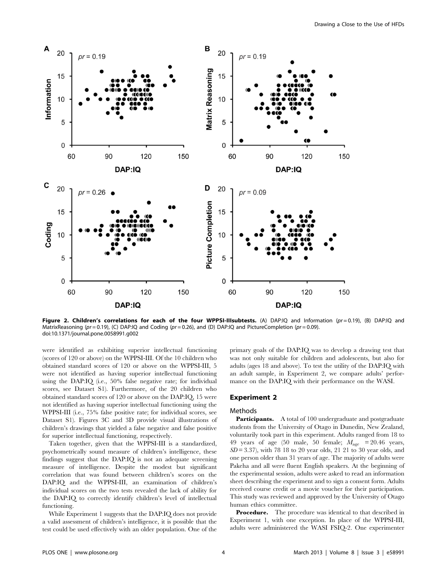

Figure 2. Children's correlations for each of the four WPPSI-IIIsubtests. (A) DAP:IQ and Information ( $pr = 0.19$ ), (B) DAP:IQ and MatrixReasoning (pr = 0.19), (C) DAP:IQ and Coding (pr = 0.26), and (D) DAP:IQ and PictureCompletion (pr = 0.09). doi:10.1371/journal.pone.0058991.g002

were identified as exhibiting superior intellectual functioning (scores of 120 or above) on the WPPSI-III. Of the 10 children who obtained standard scores of 120 or above on the WPPSI-III, 5 were not identified as having superior intellectual functioning using the DAP:IQ (i.e., 50% false negative rate; for individual scores, see Dataset S1). Furthermore, of the 20 children who obtained standard scores of 120 or above on the DAP:IQ, 15 were not identified as having superior intellectual functioning using the WPPSI-III (i.e., 75% false positive rate; for individual scores, see Dataset S1). Figures 3C and 3D provide visual illustrations of children's drawings that yielded a false negative and false positive for superior intellectual functioning, respectively.

Taken together, given that the WPPSI-III is a standardized, psychometrically sound measure of children's intelligence, these findings suggest that the DAP:IQ is not an adequate screening measure of intelligence. Despite the modest but significant correlation that was found between children's scores on the DAP:IQ and the WPPSI-III, an examination of children's individual scores on the two tests revealed the lack of ability for the DAP:IQ to correctly identify children's level of intellectual functioning.

While Experiment 1 suggests that the DAP:IQ does not provide a valid assessment of children's intelligence, it is possible that the test could be used effectively with an older population. One of the primary goals of the DAP:IQ was to develop a drawing test that was not only suitable for children and adolescents, but also for adults (ages 18 and above). To test the utility of the DAP:IQ with an adult sample, in Experiment 2, we compare adults' performance on the DAP:IQ with their performance on the WASI.

## Experiment 2

#### Methods

Participants. A total of 100 undergraduate and postgraduate students from the University of Otago in Dunedin, New Zealand, voluntarily took part in this experiment. Adults ranged from 18 to 49 years of age (50 male, 50 female;  $M_{\text{age}}$  = 20.46 years,  $SD = 3.37$ , with 78 18 to 20 year olds, 21 21 to 30 year olds, and one person older than 31 years of age. The majority of adults were Pakeha and all were fluent English speakers. At the beginning of the experimental session, adults were asked to read an information sheet describing the experiment and to sign a consent form. Adults received course credit or a movie voucher for their participation. This study was reviewed and approved by the University of Otago human ethics committee.

**Procedure.** The procedure was identical to that described in Experiment 1, with one exception. In place of the WPPSI-III, adults were administered the WASI FSIQ-2. One experimenter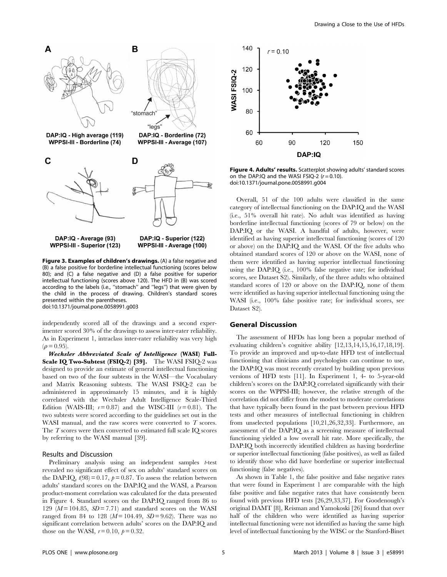

Figure 3. Examples of children's drawings. (A) a false negative and (B) a false positive for borderline intellectual functioning (scores below 80); and (C) a false negative and (D) a false positive for superior intellectual functioning (scores above 120). The HFD in (B) was scored according to the labels (i.e., ''stomach'' and ''legs'') that were given by the child in the process of drawing. Children's standard scores presented within the parentheses. doi:10.1371/journal.pone.0058991.g003

independently scored all of the drawings and a second experimenter scored 30% of the drawings to assess inter-rater reliability. As in Experiment 1, intraclass inter-rater reliability was very high  $(\rho = 0.95)$ .

Wechsler Abbreviated Scale of Intelligence (WASI) Full-Scale IQ Two-Subtest (FSIQ-2) [39]. The WASI FSIQ-2 was designed to provide an estimate of general intellectual functioning based on two of the four subtests in the WASI—the Vocabulary and Matrix Reasoning subtests. The WASI FSIQ-2 can be administered in approximately 15 minutes, and it is highly correlated with the Wechsler Adult Intelligence Scale-Third Edition (WAIS-III;  $r = 0.87$ ) and the WISC-III ( $r = 0.81$ ). The two subtests were scored according to the guidelines set out in the WASI manual, and the raw scores were converted to  $T$  scores. The  $T$  scores were then converted to estimated full scale IQ scores by referring to the WASI manual [39].

#### Results and Discussion

Preliminary analysis using an independent samples *t*-test revealed no significant effect of sex on adults' standard scores on the DAP:IQ,  $t(98) = 0.17$ ,  $p = 0.87$ . To assess the relation between adults' standard scores on the DAP:IQ and the WASI, a Pearson product-moment correlation was calculated for the data presented in Figure 4. Standard scores on the DAP:IQ ranged from 86 to 129 ( $M = 104.85$ ,  $SD = 7.71$ ) and standard scores on the WASI ranged from 84 to 128  $(M=104.49, SD=9.62)$ . There was no significant correlation between adults' scores on the DAP:IQ and those on the WASI,  $r = 0.10$ ,  $p = 0.32$ .



Figure 4. Adults' results. Scatterplot showing adults' standard scores on the DAP:IQ and the WASI FSIQ-2  $(r = 0.10)$ . doi:10.1371/journal.pone.0058991.g004

Overall, 51 of the 100 adults were classified in the same category of intellectual functioning on the DAP:IQ and the WASI (i.e., 51% overall hit rate). No adult was identified as having borderline intellectual functioning (scores of 79 or below) on the DAP:IQ or the WASI. A handful of adults, however, were identified as having superior intellectual functioning (scores of 120 or above) on the DAP:IQ and the WASI. Of the five adults who obtained standard scores of 120 or above on the WASI, none of them were identified as having superior intellectual functioning using the DAP:IQ (i.e., 100% false negative rate; for individual scores, see Dataset S2). Similarly, of the three adults who obtained standard scores of 120 or above on the DAP:IQ, none of them were identified as having superior intellectual functioning using the WASI (i.e., 100% false positive rate; for individual scores, see Dataset S2).

#### General Discussion

The assessment of HFDs has long been a popular method of evaluating children's cognitive ability [12,13,14,15,16,17,18,19]. To provide an improved and up-to-date HFD test of intellectual functioning that clinicians and psychologists can continue to use, the DAP:IQ was most recently created by building upon previous versions of HFD tests [11]. In Experiment 1, 4- to 5-year-old children's scores on the DAP:IQ correlated significantly with their scores on the WPPSI-III; however, the relative strength of the correlation did not differ from the modest to moderate correlations that have typically been found in the past between previous HFD tests and other measures of intellectual functioning in children from unselected populations [10,21,26,32,33]. Furthermore, an assessment of the DAP:IQ as a screening measure of intellectual functioning yielded a low overall hit rate. More specifically, the DAP:IQ both incorrectly identified children as having borderline or superior intellectual functioning (false positives), as well as failed to identify those who did have borderline or superior intellectual functioning (false negatives).

As shown in Table 1, the false positive and false negative rates that were found in Experiment 1 are comparable with the high false positive and false negative rates that have consistently been found with previous HFD tests [26,29,33,37]. For Goodenough's original DAMT [8], Reisman and Yamokoski [26] found that over half of the children who were identified as having superior intellectual functioning were not identified as having the same high level of intellectual functioning by the WISC or the Stanford-Binet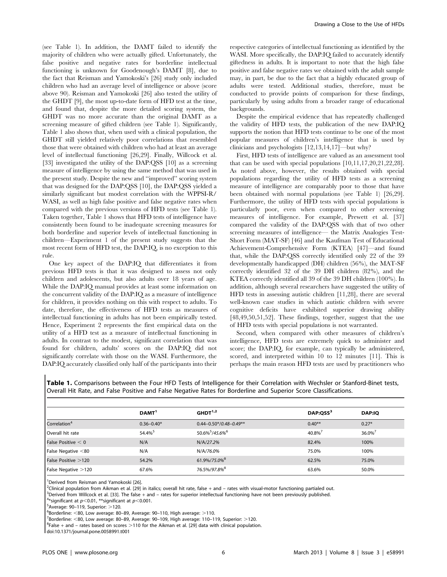(see Table 1). In addition, the DAMT failed to identify the majority of children who were actually gifted. Unfortunately, the false positive and negative rates for borderline intellectual functioning is unknown for Goodenough's DAMT [8], due to the fact that Reisman and Yamokoski's [26] study only included children who had an average level of intelligence or above (score above 90). Reisman and Yamokoski [26] also tested the utility of the GHDT [9], the most up-to-date form of HFD test at the time, and found that, despite the more detailed scoring system, the GHDT was no more accurate than the original DAMT as a screening measure of gifted children (see Table 1). Significantly, Table 1 also shows that, when used with a clinical population, the GHDT still yielded relatively poor correlations that resembled those that were obtained with children who had at least an average level of intellectual functioning [26,29]. Finally, Willcock et al. [33] investigated the utility of the DAP:QSS [10] as a screening measure of intelligence by using the same method that was used in the present study. Despite the new and ''improved'' scoring system that was designed for the DAP:QSS [10], the DAP:QSS yielded a similarly significant but modest correlation with the WPPSI-R/ WASI, as well as high false positive and false negative rates when compared with the previous versions of HFD tests (see Table 1). Taken together, Table 1 shows that HFD tests of intelligence have consistently been found to be inadequate screening measures for both borderline and superior levels of intellectual functioning in children—Experiment 1 of the present study suggests that the most recent form of HFD test, the DAP:IQ, is no exception to this rule.

One key aspect of the DAP:IQ that differentiates it from previous HFD tests is that it was designed to assess not only children and adolescents, but also adults over 18 years of age. While the DAP:IQ manual provides at least some information on the concurrent validity of the DAP:IQ as a measure of intelligence for children, it provides nothing on this with respect to adults. To date, therefore, the effectiveness of HFD tests as measures of intellectual functioning in adults has not been empirically tested. Hence, Experiment 2 represents the first empirical data on the utility of a HFD test as a measure of intellectual functioning in adults. In contrast to the modest, significant correlation that was found for children, adults' scores on the DAP:IQ did not significantly correlate with those on the WASI. Furthermore, the DAP:IQ accurately classified only half of the participants into their respective categories of intellectual functioning as identified by the WASI. More specifically, the DAP:IQ failed to accurately identify giftedness in adults. It is important to note that the high false positive and false negative rates we obtained with the adult sample may, in part, be due to the fact that a highly educated group of adults were tested. Additional studies, therefore, must be conducted to provide points of comparison for these findings, particularly by using adults from a broader range of educational backgrounds.

Despite the empirical evidence that has repeatedly challenged the validity of HFD tests, the publication of the new DAP:IQ supports the notion that HFD tests continue to be one of the most popular measures of children's intelligence that is used by clinicians and psychologists [12,13,14,17]—but why?

First, HFD tests of intelligence are valued as an assessment tool that can be used with special populations [10,11,17,20,21,22,28]. As noted above, however, the results obtained with special populations regarding the utility of HFD tests as a screening measure of intelligence are comparably poor to those that have been obtained with normal populations (see Table 1) [26,29]. Furthermore, the utility of HFD tests with special populations is particularly poor, even when compared to other screening measures of intelligence. For example, Prewett et al. [37] compared the validity of the DAP:QSS with that of two other screening measures of intelligence— the Matrix Analogies Test-Short Form (MAT-SF) [46] and the Kaufman Test of Educational Achievement-Comprehensive Form (KTEA) [47]—and found that, while the DAP:QSS correctly identified only 22 of the 39 developmentally handicapped (DH) children (56%), the MAT-SF correctly identified 32 of the 39 DH children (82%), and the KTEA correctly identified all 39 of the 39 DH children (100%). In addition, although several researchers have suggested the utility of HFD tests in assessing autistic children [11,28], there are several well-known case studies in which autistic children with severe cognitive deficits have exhibited superior drawing ability [48,49,50,51,52]. These findings, together, suggest that the use of HFD tests with special populations is not warranted.

Second, when compared with other measures of children's intelligence, HFD tests are extremely quick to administer and score; the DAP:IQ, for example, can typically be administered, scored, and interpreted within 10 to 12 minutes [11]. This is perhaps the main reason HFD tests are used by practitioners who

Table 1. Comparisons between the Four HFD Tests of Intelligence for their Correlation with Wechsler or Stanford-Binet tests, Overall Hit Rate, and False Positive and False Negative Rates for Borderline and Superior Score Classifications.

|                          | DAMT <sup>1</sup> | GHDT <sup>1,2</sup>                    | DAP:OSS <sup>3</sup> | <b>DAP:IQ</b> |  |
|--------------------------|-------------------|----------------------------------------|----------------------|---------------|--|
| Correlation <sup>4</sup> | $0.36 - 0.40*$    | $0.44 - 0.50*/0.48 - 0.49**$           | $0.40**$             | $0.27*$       |  |
| Overall hit rate         | 54.4%             | 50.6% <sup>5</sup> /45.6% <sup>6</sup> | 40.8%                | 36.0%         |  |
| False Positive $< 0$     | N/A               | N/A/27.2%                              | 82.4%                | 100%          |  |
| False Negative $<$ 80    | N/A               | N/A/76.0%                              | 75.0%                | 100%          |  |
| False Positive >120      | 54.2%             | 61.9%/75.0% <sup>8</sup>               | 62.5%                | 75.0%         |  |
| False Negative >120      | 67.6%             | 76.5%/97.8% <sup>8</sup>               | 63.6%                | 50.0%         |  |

<sup>1</sup>Derived from Reisman and Yamokoski [26].

<sup>2</sup> Clinical population from Aikman et al. [29] in italics; overall hit rate, false + and – rates with visual-motor functioning partialed out.<br><sup>3</sup> Derived from Willcock et al. [33]. The false + and – rates for superior int

3Derived from Willcock et al. [33]. The false + and – rates for superior intellectual functioning have not been previously published.

<sup>4\*</sup>significant at  $p<$  0.01, \*\*significant at  $p<$  0.001.

 $5$ Average: 90-119, Superior:  $>$ 120.

 $6$ Borderline: <80, Low average: 80–89, Average: 90–110, High average:  $>$ 110.

 $B$ orderline:  $<$ 80, Low average: 80–89, Average: 90–109, High average: 110–119, Superior:  $>$ 120.

 ${}^{8}$ False + and – rates based on scores  $>$ 110 for the Aikman et al. [29] data with clinical population.

doi:10.1371/journal.pone.0058991.t001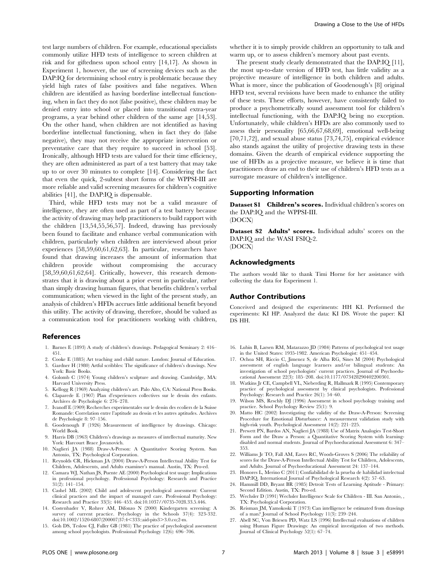test large numbers of children. For example, educational specialists commonly utilize HFD tests of intelligence to screen children at risk and for giftedness upon school entry [14,17]. As shown in Experiment 1, however, the use of screening devices such as the DAP:IQ for determining school entry is problematic because they yield high rates of false positives and false negatives. When children are identified as having borderline intellectual functioning, when in fact they do not (false positive), these children may be denied entry into school or placed into transitional extra-year programs, a year behind other children of the same age [14,53]. On the other hand, when children are not identified as having borderline intellectual functioning, when in fact they do (false negative), they may not receive the appropriate intervention or preventative care that they require to succeed in school [53]. Ironically, although HFD tests are valued for their time efficiency, they are often administered as part of a test battery that may take up to or over 30 minutes to complete [14]. Considering the fact that even the quick, 2-subtest short forms of the WPPSI-III are more reliable and valid screening measures for children's cognitive abilities [41], the DAP:IQ is dispensable.

Third, while HFD tests may not be a valid measure of intelligence, they are often used as part of a test battery because the activity of drawing may help practitioners to build rapport with the children [13,54,55,56,57]. Indeed, drawing has previously been found to facilitate and enhance verbal communication with children, particularly when children are interviewed about prior experiences [58,59,60,61,62,63]. In particular, researchers have found that drawing increases the amount of information that children provide without compromising the accuracy [58,59,60,61,62,64]. Critically, however, this research demonstrates that it is drawing about a prior event in particular, rather than simply drawing human figures, that benefits children's verbal communication; when viewed in the light of the present study, an analysis of children's HFDs accrues little additional benefit beyond this utility. The activity of drawing, therefore, should be valued as a communication tool for practitioners working with children,

#### References

- 1. Barnes E (1893) A study of children's drawings. Pedagogical Seminary 2: 416– 451.
- 2. Cooke E (1885) Art teaching and child nature. London: Journal of Education. 3. Gardner H (1980) Artful scribbles: The significance of children's drawings. New
- York: Basic Books. 4. Golomb C (1974) Young children's sculpture and drawing. Cambridge, MA: Harvard University Press.
- 5. Kellogg R (1969) Analyzing children's art. Palo Alto, CA: National Press Books.
- 6. Claparede E (1907) Plan d'experiences collectives sur le dessin des enfants. Archives de Psychologie 6: 276–278.
- 7. Ivanoff E (1909) Recherches experimentales sur le dessin des ecoliers de la Suisse Romande: Correlation entre l'aptitude au dessin et les autres aptitudes. Archives de Psychologie 8: 97–156.
- 8. Goodenough F (1926) Measurement of intelligence by drawings. Chicago: World Book.
- 9. Harris DB (1963) Children's drawings as measures of intellectual maturity. New York: Harcourt Brace Jovanovich.
- 10. Naglieri JA (1988) Draw-A-Person: A Quantitative Scoring System. San Antonio, TX: Psychological Corporation.
- 11. Reynolds CR, Hickman JA (2004) Draw-A-Person Intellectual Ability Test for Children, Adolescents, and Adults examiner's manual. Austin, TX: Pro-ed.
- 12. Camara WJ, Nathan JS, Puente AE (2000) Psychological test usage: Implications in professional psychology. Professional Psychology: Research and Practice  $31(2): 141-154.$
- 13. Cashel ML (2002) Child and adolescent psychological assessment: Current clinical practices and the impact of managed care. Professional Psychology: Research and Practice 33(5): 446-453. doi:10.1037//0735-7028.33.5.446.
- 14. Costenbader V, Rohrer AM, Difonzo N (2000) Kindergarten screening: A survey of current practice. Psychology in the Schools 37(4): 323-332. doi:10.1002/1520-6807(200007)37:4<333::aid-pits3>3.0.co;2-m.
- 15. Goh DS, Teslow CJ, Fuller GB (1981) The practice of psychological assessment among school psychologists. Professional Psychology 12(6): 696–706.

whether it is to simply provide children an opportunity to talk and warm up, or to assess children's memory about past events.

The present study clearly demonstrated that the DAP:IQ [11], the most up-to-date version of HFD test, has little validity as a projective measure of intelligence in both children and adults. What is more, since the publication of Goodenough's [8] original HFD test, several revisions have been made to enhance the utility of these tests. These efforts, however, have consistently failed to produce a psychometrically sound assessment tool for children's intellectual functioning, with the DAP:IQ being no exception. Unfortunately, while children's HFDs are also commonly used to assess their personality [65,66,67,68,69], emotional well-being [70,71,72], and sexual abuse status [73,74,75], empirical evidence also stands against the utility of projective drawing tests in these domains. Given the dearth of empirical evidence supporting the use of HFDs as a projective measure, we believe it is time that practitioners draw an end to their use of children's HFD tests as a surrogate measure of children's intelligence.

## Supporting Information

Dataset S1 Children's scores. Individual children's scores on the DAP:IQ and the WPPSI-III.

(DOCX)

Dataset S2 Adults' scores. Individual adults' scores on the DAP:IQ and the WASI FSIQ-2. (DOCX)

## Acknowledgments

The authors would like to thank Timi Horne for her assistance with collecting the data for Experiment 1.

#### Author Contributions

Conceived and designed the experiments: HH KI. Performed the experiments: KI HP. Analyzed the data: KI DS. Wrote the paper: KI DS HH.

- 16. Lubin B, Larsen RM, Matarazzo JD (1984) Patterns of psychological test usage in the United States: 1935-1982. American Psychologist: 451–454.
- 17. Ochoa SH, Riccio C, Jimenez S, de Alba RG, Sines M (2004) Psychological assessment of english language learners and/or bilingual students: An investigation of school psychologists' current practices. Journal of Psychoeducational Assessment 22(3): 185–208. doi:10.1177/073428290402200301.
- 18. Watkins Jr CE, Campbell VL, Nieberding R, Hallmark R (1995) Contemporary practice of psychological assessment by clinical psychologists. Professional Psychology: Research and Practice 26(1): 54–60.
- 19. Wilson MS, Reschly DJ (1996) Assessment in school psychology training and practice. School Psychology Review 25(1): 9.
- 20. Matto HC (2002) Investigating the validity of the Draw-A-Person: Screening Procedure for Emotional Disturbance: A measurement validation study with high-risk youth. Psychological Assessment 14(2): 221–225.
- 21. Prewett PN, Bardos AN, Naglieri JA (1988) Use of Matrix Analogies Test-Short Form and the Draw a Person: a Quantitative Scoring System with learningdisabled and normal students. Journal of Psychoeducational Assessment 6: 347– 353.
- 22. Williams Jr TO, Fall AM, Eaves RC, Woods-Groves S (2006) The reliability of scores for the Draw-A-Person Intellectual Ability Test for Children, Adolescents, and Adults. Journal of Psychoeducational Assessment 24: 137–144.
- 23. Honores L, Merino C (2011) Confiabilidad de la prueba de habilidad intelectual DAP:IQ. International Journal of Psychological Research 4(2): 57–63.
- 24. Hammill DD, Bryant BR (1985) Detroit Tests of Learning Aptitude Primary: Second Edition. Austin, TX: Pro-ed.
- 25. Wechsler D (1991) Wechsler Intelligence Scale for Children III. San Antonio, , TX: Psychological Corporation.
- 26. Reisman JM, Yamokoski T (1973) Can intelligence be estimated from drawings of a man? Journal of School Psychology 11(3): 239–244.
- 27. Abell SC, Von Briesen PD, Watz LS (1996) Intellectual evaluations of children using Human Figure Drawings: An empirical investigation of two methods. Journal of Clinical Psychology 52(1): 67–74.